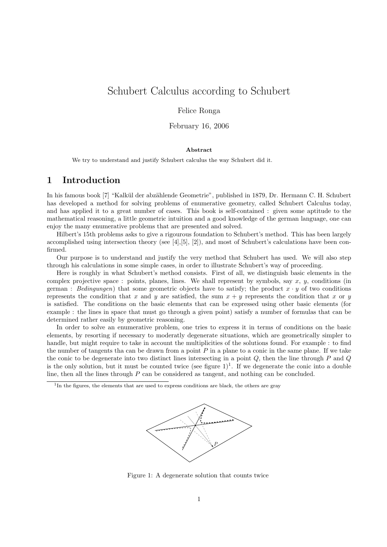# Schubert Calculus according to Schubert

### Felice Ronga

### February 16, 2006

### Abstract

We try to understand and justify Schubert calculus the way Schubert did it.

## 1 Introduction

In his famous book [7] "Kalkül der abzählende Geometrie", published in 1879, Dr. Hermann C. H. Schubert has developed a method for solving problems of enumerative geometry, called Schubert Calculus today, and has applied it to a great number of cases. This book is self-contained : given some aptitude to the mathematical reasoning, a little geometric intuition and a good knowledge of the german language, one can enjoy the many enumerative problems that are presented and solved.

Hilbert's 15th problems asks to give a rigourous foundation to Schubert's method. This has been largely accomplished using intersection theory (see  $[4], [5], [2]$ ), and most of Schubert's calculations have been confirmed.

Our purpose is to understand and justify the very method that Schubert has used. We will also step through his calculations in some simple cases, in order to illustrate Schubert's way of proceeding.

Here is roughly in what Schubert's method consists. First of all, we distinguish basic elements in the complex projective space : points, planes, lines. We shall represent by symbols, say  $x, y$ , conditions (in german : Bedingungen) that some geometric objects have to satisfy; the product  $x \cdot y$  of two conditions represents the condition that x and y are satisfied, the sum  $x + y$  represents the condition that x or y is satisfied. The conditions on the basic elements that can be expressed using other basic elements (for example : the lines in space that must go through a given point) satisfy a number of formulas that can be determined rather easily by geometric reasoning.

In order to solve an enumerative problem, one tries to express it in terms of conditions on the basic elements, by resorting if necessary to moderatly degenerate situations, which are geometrically simpler to handle, but might require to take in account the multiplicities of the solutions found. For example : to find the number of tangents tha can be drawn from a point  $P$  in a plane to a conic in the same plane. If we take the conic to be degenerate into two distinct lines intersecting in a point  $Q$ , then the line through  $P$  and  $Q$ is the only solution, but it must be counted twice (see figure  $1$ )<sup>1</sup>. If we degenerate the conic into a double line, then all the lines through  $P$  can be considered as tangent, and nothing can be concluded.

<sup>&</sup>lt;sup>1</sup>In the figures, the elements that are used to express conditions are black, the others are gray



Figure 1: A degenerate solution that counts twice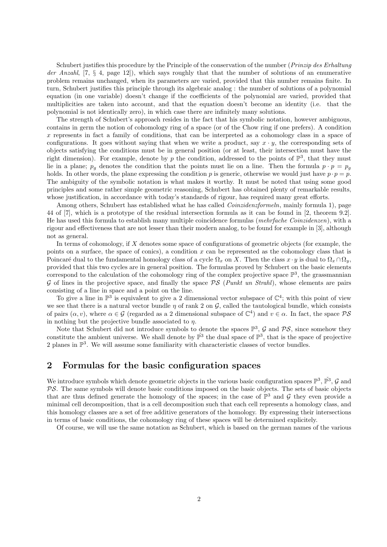Schubert justifies this procedure by the Principle of the conservation of the number (*Prinzip des Erhaltung* der Anzahl,  $[7, \S 4, \text{page 12}]$ , which says roughly that that the number of solutions of an enumerative problem remains unchanged, when its parameters are varied, provided that this number remains finite. In turn, Schubert justifies this principle through its algebraic analog : the number of solutions of a polynomial equation (in one variable) doesn't change if the coefficients of the polynomial are varied, provided that multiplicities are taken into account, and that the equation doesn't become an identity (i.e. that the polynomial is not identically zero), in which case there are infinitely many solutions.

The strength of Schubert's approach resides in the fact that his symbolic notation, however ambiguous, contains in germ the notion of cohomology ring of a space (or of the Chow ring if one prefers). A condition x represents in fact a family of conditions, that can be interpreted as a cohomology class in a space of configurations. It goes without saying that when we write a product, say  $x \cdot y$ , the corresponding sets of objects satisfying the conditions must be in general position (or at least, their intersection must have the right dimension). For example, denote by p the condition, addressed to the points of  $\mathbb{P}^3$ , that they must lie in a plane;  $p_g$  denotes the condition that the points must lie on a line. Then the formula  $p \cdot p = p_g$ holds. In other words, the plane expressing the condition p is generic, otherwise we would just have  $p \cdot p = p$ . The ambiguity of the symbolic notation is what makes it worthy. It must be noted that using some good principles and some rather simple geometric reasoning, Schubert has obtained plenty of remarkable results, whose justification, in accordance with today's standards of rigour, has required many great efforts.

Among others, Schubert has established what he has called *Coinzidenzformeln*, mainly formula 1), page 44 of [7], which is a prototype of the residual intersection formula as it can be found in [2, theorem 9.2]. He has used this formula to establish many multiple coincidence formulas (mehrfache Coinzidenzen), with a rigour and effectiveness that are not lesser than their modern analog, to be found for example in [3], although not as general.

In terms of cohomology, if  $X$  denotes some space of configurations of geometric objects (for example, the points on a surface, the space of conics), a condition  $x$  can be represented as the cohomology class that is Poincaré dual to the fundamental homology class of a cycle  $\Omega_x$  on X. Then the class  $x \cdot y$  is dual to  $\Omega_x \cap \Omega_y$ , provided that this two cycles are in general position. The formulas proved by Schubert on the basic elements correspond to the calculation of the cohomology ring of the complex projective space  $\mathbb{P}^3$ , the grassmannian G of lines in the projective space, and finally the space  $PS$  (Punkt un Strahl), whose elements are pairs consisting of a line in space and a point on the line.

To give a line in  $\mathbb{P}^3$  is equivalent to give a 2 dimensional vector subspace of  $\mathbb{C}^4$ ; with this point of view we see that there is a natural vector bundle  $\eta$  of rank 2 on  $\mathcal{G}$ , called the tautological bundle, which consists of pairs  $(\alpha, v)$ , where  $\alpha \in \mathcal{G}$  (regarded as a 2 dimensional subspace of  $\mathbb{C}^4$ ) and  $v \in \alpha$ . In fact, the space  $\mathcal{PS}$ in nothing but the projective bundle associated to  $\eta$ .

Note that Schubert did not introduce symbols to denote the spaces  $\mathbb{P}^3$ , G and  $\mathcal{PS}$ , since somehow they constitute the ambient universe. We shall denote by  $\mathbb{P}^3$  the dual space of  $\mathbb{P}^3$ , that is the space of projective 2 planes in  $\mathbb{P}^3$ . We will assume some familiarity with characteristic classes of vector bundles.

## 2 Formulas for the basic configuration spaces

We introduce symbols which denote geometric objects in the various basic configuration spaces  $\mathbb{P}^3$ ,  $\check{\mathbb{P}}^3$ ,  $\mathcal{G}$  and  $PS$ . The same symbols will denote basic conditions imposed on the basic objects. The sets of basic objects that are thus defined generate the homology of the spaces; in the case of  $\mathbb{P}^3$  and  $\mathcal G$  they even provide a minimal cell decomposition, that is a cell decomposition such that each cell represents a homology class, and this homology classes are a set of free additive generators of the homology. By expressing their intersections in terms of basic conditions, the cohomology ring of these spaces will be determined explicitely.

Of course, we will use the same notation as Schubert, which is based on the german names of the various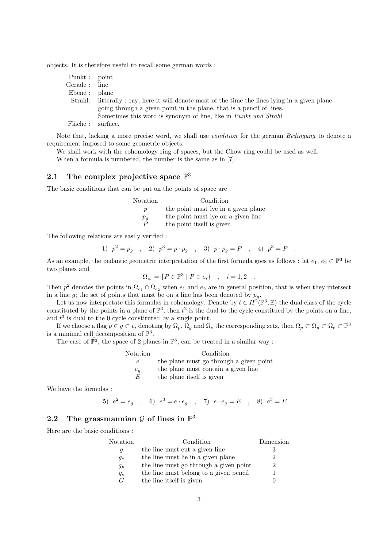objects. It is therefore useful to recall some german words :

| Punkt : point             |                                                                                        |
|---------------------------|----------------------------------------------------------------------------------------|
| $\operatorname{Gerade}$ : | line                                                                                   |
| Ebene:                    | plane                                                                                  |
| Strahl:                   | litterally: ray; here it will denote most of the time the lines lying in a given plane |
|                           | going through a given point in the plane, that is a pencil of lines.                   |
|                           | Sometimes this word is synonym of line, like in <i>Punkt und Strahl</i>                |
| Fläche :                  | surface.                                                                               |
|                           |                                                                                        |

Note that, lacking a more precise word, we shall use *condition* for the german *Bedingung* to denote a requirement imposed to some geometric objects.

We shall work with the cohomology ring of spaces, but the Chow ring could be used as well.

When a formula is numbered, the number is the same as in [7].

## 2.1 The complex projective space  $\mathbb{P}^3$

The basic conditions that can be put on the points of space are :

| Notation         | Condition                           |  |  |  |
|------------------|-------------------------------------|--|--|--|
| $\boldsymbol{p}$ | the point must lye in a given plane |  |  |  |
| $p_{q}$          | the point must lye on a given line  |  |  |  |
| P                | the point itself is given           |  |  |  |

The following relations are easily verified :

1)  $p^2 = p_g$ , 2)  $p^3 = p \cdot p_g$ , 3)  $p \cdot p_g = P$ , 4)  $p^3 = P$ .

As an example, the pedantic geometric interpretation of the first formula goes as follows : let  $e_1, e_2 \subset \mathbb{P}^3$  be two planes and

 $\Omega_{e_i} = \{ P \in \mathbb{P}^3 \mid P \in e_i \}$ ,  $i = 1, 2$ .

Then  $p^2$  denotes the points in  $\Omega_{e_1} \cap \Omega_{e_2}$  when  $e_1$  and  $e_2$  are in general position, that is when they intersect in a line g; the set of points that must be on a line has been denoted by  $p_g$ .

Let us now interpretate this formulas in cohomology. Denote by  $t \in H^2(\mathbb{P}^3, \mathbb{Z})$  the dual class of the cycle constituted by the points in a plane of  $\mathbb{P}^3$ ; then  $t^2$  is the dual to the cycle constitued by the points on a line, and  $t^3$  is dual to the 0 cycle constituted by a single point.

If we choose a flag  $p \in g \subset e$ , denoting by  $\Omega_p$ ,  $\Omega_g$  and  $\Omega_e$  the corresponding sets, then  $\Omega_p \subset \Omega_g \subset \Omega_e \subset \mathbb{P}^3$ is a minimal cell decomposition of  $\mathbb{P}^3$ .

The case of  $\mathbb{P}^3$ , the space of 2 planes in  $\mathbb{P}^3$ , can be treated in a similar way :

| Notation | Condition                               |
|----------|-----------------------------------------|
|          | the plane must go through a given point |
| $e_q$    | the plane must contain a given line     |
| E        | the plane itself is given               |

We have the formulas :

5) 
$$
e^2 = e_g
$$
, 6)  $e^3 = e \cdot e_g$ , 7)  $e \cdot e_g = E$ , 8)  $e^3 = E$ .

## 2.2 The grassmannian  $\mathcal G$  of lines in  $\mathbb P^3$

Here are the basic conditions :

| Notation | Condition                              | Dimension                   |
|----------|----------------------------------------|-----------------------------|
| g        | the line must cut a given line         | 3                           |
| $g_e$    | the line must lie in a given plane     | $\mathcal{D}_{\mathcal{L}}$ |
| $g_p$    | the line must go through a given point | 2                           |
| $g_s$    | the line must belong to a given pencil |                             |
| G        | the line itself is given               |                             |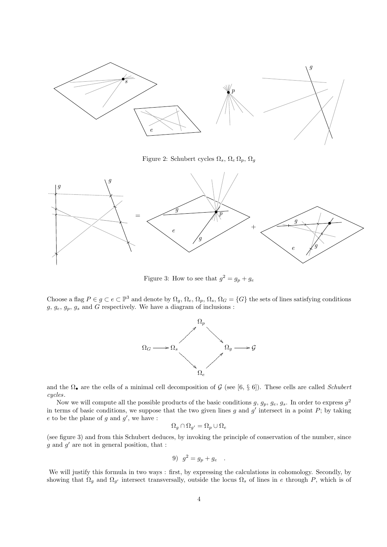

Figure 2: Schubert cycles  $\Omega_s$ ,  $\Omega_e \Omega_p$ ,  $\Omega_g$ 



Figure 3: How to see that  $g^2 = g_p + g_e$ 

Choose a flag  $P \in g \subset e \subset \mathbb{P}^3$  and denote by  $\Omega_g$ ,  $\Omega_e$ ,  $\Omega_p$ ,  $\Omega_s$ ,  $\Omega_G = \{G\}$  the sets of lines satisfying conditions  $g, g_e, g_p, g_s$  and G respectively. We have a diagram of inclusions :



and the  $\Omega_{\bullet}$  are the cells of a minimal cell decomposition of G (see [6, § 6]). These cells are called Schubert cycles.

Now we will compute all the possible products of the basic conditions  $g, g_p, g_e, g_s$ . In order to express  $g^2$ in terms of basic conditions, we suppose that the two given lines g and  $g'$  intersect in a point  $P$ ; by taking  $e$  to be the plane of  $g$  and  $g'$ , we have :

$$
\Omega_g \cap \Omega_{g'} = \Omega_p \cup \Omega_e
$$

(see figure 3) and from this Schubert deduces, by invoking the principle of conservation of the number, since  $g$  and  $g'$  are not in general position, that :

$$
9) \quad g^2 = g_p + g_e \quad .
$$

We will justify this formula in two ways : first, by expressing the calculations in cohomology. Secondly, by showing that  $\Omega_g$  and  $\Omega_{g'}$  intersect transversally, outside the locus  $\Omega_s$  of lines in e through P, which is of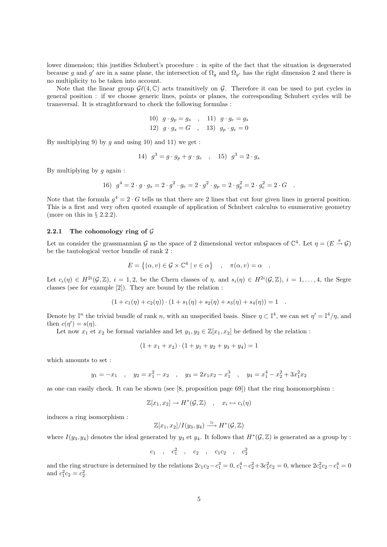lower dimension; this justifies Schubert's procedure : in spite of the fact that the situation is degenerated because g and g' are in a same plane, the intersection of  $\Omega_g$  and  $\Omega_{g'}$  has the right dimension 2 and there is no multiplicity to be taken into account.

Note that the linear group  $\mathcal{G}\ell(4,\mathbb{C})$  acts transitively on G. Therefore it can be used to put cycles in general position : if we choose generic lines, points or planes, the corresponding Schubert cycles will be transversal. It is straghtforward to check the following formulas :

10) 
$$
g \cdot g_p = g_s
$$
, 11)  $g \cdot g_e = g_s$   
\n12)  $g \cdot g_s = G$ , 13)  $g_p \cdot g_e = 0$ 

By multiplying 9) by q and using 10) and 11) we get:

14) 
$$
g^3 = g \cdot g_p + g \cdot g_e
$$
, 15)  $g^3 = 2 \cdot g_s$ 

By multiplying by  $q$  again :

16) 
$$
g^4 = 2 \cdot g \cdot g_s = 2 \cdot g^2 \cdot g_e = 2 \cdot g^2 \cdot g_p = 2 \cdot g^2 = 2 \cdot g^2 = 2 \cdot G
$$
.

Note that the formula  $g^4 = 2 \cdot G$  tells us that there are 2 lines that cut four given lines in general position. This is a first and very often quoted example of application of Schubert calculus to enumerative geometry (more on this in  $\S$  2.2.2).

#### 2.2.1 The cohomology ring of  $\mathcal G$

Let us consider the grassmannian G as the space of 2 dimensional vector subspaces of  $\mathbb{C}^4$ . Let  $\eta = (E \stackrel{\pi}{\to} \mathcal{G})$ be the tautological vector bundle of rank 2 :

$$
E = \{ (\alpha, v) \in \mathcal{G} \times \mathbb{C}^4 \mid v \in \alpha \} \quad , \quad \pi(\alpha, v) = \alpha \quad .
$$

Let  $c_i(\eta) \in H^{2i}(\mathcal{G}, \mathbb{Z})$ ,  $i = 1, 2$ , be the Chern classes of  $\eta$ , and  $s_i(\eta) \in H^{2i}(\mathcal{G}, \mathbb{Z})$ ,  $i = 1, ..., 4$ , the Segre classes (see for example [2]). They are bound by the relation :

$$
(1 + c1(\eta) + c2(\eta)) \cdot (1 + s1(\eta) + s2(\eta) + s3(\eta) + s4(\eta)) = 1.
$$

Denote by  $\mathbb{I}^n$  the trivial bundle of rank n, with an unspecified basis. Since  $\eta \subset \mathbb{I}^4$ , we can set  $\eta' = \mathbb{I}^4/\eta$ , and then  $c(\eta') = s(\eta)$ .

Let now  $x_1$  et  $x_2$  be formal variables and let  $y_1, y_2 \in \mathbb{Z}[x_1, x_2]$  be defined by the relation :

$$
(1 + x_1 + x_2) \cdot (1 + y_1 + y_2 + y_3 + y_4) = 1
$$

which amounts to set :

$$
y_1 = -x_1
$$
,  $y_2 = x_1^2 - x_2$ ,  $y_3 = 2x_1x_2 - x_1^3$ ,  $y_4 = x_1^4 - x_2^2 + 3x_1^2x_2$ 

as one can easily check. It can be shown (see [8, proposition page 69]) that the ring homomorphism :

$$
\mathbb{Z}[x_1, x_2] \to H^*(\mathcal{G}, \mathbb{Z}) \quad , \quad x_i \mapsto c_i(\eta)
$$

induces a ring isomorphism :

$$
\mathbb{Z}[x_1,x_2]/I(y_3,y_4) \stackrel{\simeq}{\longrightarrow} H^*(\mathcal{G},\mathbb{Z})
$$

where  $I(y_3, y_4)$  denotes the ideal generated by  $y_3$  et  $y_4$ . It follows that  $H^*(\mathcal{G}, \mathbb{Z})$  is generated as a group by :

$$
c_1 \quad , \quad c_1^2 \quad , \quad c_2 \quad , \quad c_1c_2 \quad , \quad c_2^2
$$

and the ring structure is determined by the relations  $2c_1c_2 - c_1^3 = 0$ ,  $c_1^4 - c_2^2 + 3c_1^2c_2 = 0$ , whence  $2c_1^2c_2 - c_1^4 = 0$ and  $c_1^2 c_2 = c_2^2$ .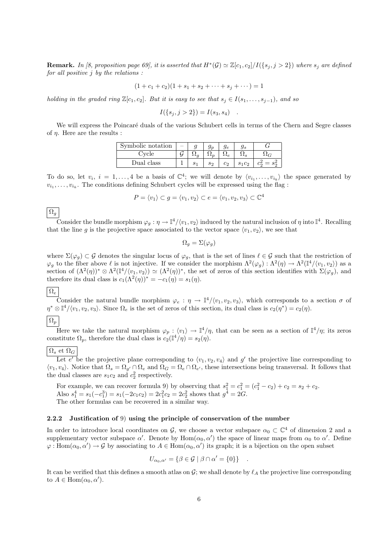**Remark.** In [8, proposition page 69], it is asserted that  $H^*(\mathcal{G}) \simeq \mathbb{Z}[c_1, c_2]/I(\{s_j, j > 2\})$  where  $s_j$  are defined for all positive  $j$  by the relations :

$$
(1 + c1 + c2)(1 + s1 + s2 + \cdots + sj + \cdots) = 1
$$

holding in the graded ring  $\mathbb{Z}[c_1, c_2]$ . But it is easy to see that  $s_i \in I(s_1, \ldots, s_{i-1})$ , and so

$$
I({s_j, j > 2}) = I(s_3, s_4) .
$$

We will express the Poincaré duals of the various Schubert cells in terms of the Chern and Segre classes of η. Here are the results :

| Symbolic notation |  |         | .9е          | Уs |  |
|-------------------|--|---------|--------------|----|--|
| 'vcle             |  |         | $^{\omega}e$ |    |  |
| Dual class        |  | $S_{2}$ | ပာ           |    |  |

To do so, let  $v_i$ ,  $i = 1, \ldots, 4$  be a basis of  $\mathbb{C}^4$ ; we will denote by  $\langle v_{i_1}, \ldots, v_{i_k} \rangle$  the space generated by  $v_{i_1}, \ldots, v_{i_k}$ . The conditions defining Schubert cycles will be expressed using the flag :

$$
P = \langle v_1 \rangle \subset g = \langle v_1, v_2 \rangle \subset e = \langle v_1, v_2, v_3 \rangle \subset \mathbb{C}^4
$$

 $\Omega_q$ 

Consider the bundle morphism  $\varphi_g : \eta \to \mathbb{I}^4/\langle v_1, v_2 \rangle$  induced by the natural inclusion of  $\eta$  into  $\mathbb{I}^4$ . Recalling that the line g is the projective space associated to the vector space  $\langle v_1, v_2 \rangle$ , we see that

$$
\Omega_g = \Sigma(\varphi_g)
$$

where  $\Sigma(\varphi_g) \subset \mathcal{G}$  denotes the singular locus of  $\varphi_g$ , that is the set of lines  $\ell \in \mathcal{G}$  such that the restriction of  $\varphi_g$  to the fiber above  $\ell$  is not injective. If we consider the morphism  $\Lambda^2(\varphi_g) : \Lambda^2(\eta) \to \Lambda^2(\mathbb{I}^4/\langle v_1, v_2 \rangle)$  as a section of  $(\Lambda^2(\eta))^* \otimes \Lambda^2(\mathbb{I}^4/\langle v_1, v_2 \rangle) \simeq (\Lambda^2(\eta))^*$ , the set of zeros of this section identifies with  $\Sigma(\varphi_g)$ , and therefore its dual class is  $c_1(\Lambda^2(\eta))^* = -c_1(\eta) = s_1(\eta)$ .

### $\Omega_e$

Consider the natural bundle morphism  $\varphi_e : \eta \to \mathbb{I}^4/\langle v_1, v_2, v_3 \rangle$ , which corresponds to a section  $\sigma$  of  $\eta^* \otimes \mathbb{I}^4/\langle v_1, v_2, v_3 \rangle$ . Since  $\Omega_e$  is the set of zeros of this section, its dual class is  $c_2(\eta^*) = c_2(\eta)$ .  $\Omega_p$ 

Here we take the natural morphism  $\varphi_p : \langle v_1 \rangle \to \mathbb{I}^4/\eta$ , that can be seen as a section of  $\mathbb{I}^4/\eta$ ; its zeros constitute  $\Omega_p$ , therefore the dual class is  $c_2(\mathbb{I}^4/\eta) = s_2(\eta)$ .

### $\Omega_s$  et  $\Omega_G$

Let e' be the projective plane corresponding to  $\langle v_1, v_2, v_4 \rangle$  and g' the projective line corresponding to  $\langle v_1, v_4 \rangle$ . Notice that  $\Omega_s = \Omega_{g'} \cap \Omega_e$  and  $\Omega_G = \Omega_e \cap \Omega_{e'}$ , these intersections being transversal. It follows that the dual classes are  $s_1c_2$  and  $c_2^2$  respectively.

For example, we can recover formula 9) by observing that  $s_1^2 = c_1^2 = (c_1^2 - c_2) + c_2 = s_2 + c_2$ . Also  $s_1^4 = s_1(-c_1^3) = s_1(-2c_1c_2) = 2c_1^2c_2 = 2c_2^2$  shows that  $g^4 = 2G$ . The other formulas can be recovered in a similar way.

### 2.2.2 Justification of 9) using the principle of conservation of the number

In order to introduce local coordinates on  $\mathcal{G}$ , we choose a vector subspace  $\alpha_0 \subset \mathbb{C}^4$  of dimension 2 and a supplementary vector subspace  $\alpha'$ . Denote by  $Hom(\alpha_0, \alpha')$  the space of linear maps from  $\alpha_0$  to  $\alpha'$ . Define  $\varphi: \text{Hom}(\alpha_0, \alpha') \to \mathcal{G}$  by associating to  $A \in \text{Hom}(\alpha_0, \alpha')$  its graph; it is a bijection on the open subset

$$
U_{\alpha_0,\alpha'} = \{ \beta \in \mathcal{G} \mid \beta \cap \alpha' = \{0\} \} .
$$

It can be verified that this defines a smooth atlas on  $\mathcal{G}$ ; we shall denote by  $\ell_A$  the projective line corresponding to  $A \in \text{Hom}(\alpha_0, \alpha').$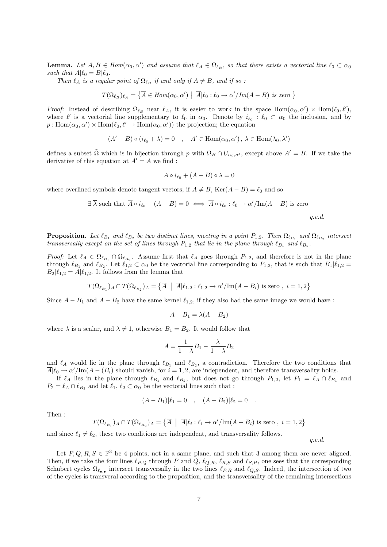**Lemma.** Let  $A, B \in Hom(\alpha_0, \alpha')$  and assume that  $\ell_A \in \Omega_{\ell_B}$ , so that there exists a vectorial line  $\ell_0 \subset \alpha_0$ such that  $A|\ell_0 = B|\ell_0$ .

Then  $\ell_A$  is a regular point of  $\Omega_{\ell_B}$  if and only if  $A \neq B$ , and if so :

$$
T(\Omega_{\ell_B})_{\ell_A} = \left\{ \overline{A} \in \mathit{Hom}(\alpha_0,\alpha') \ \middle| \ \overline{A}|\ell_0: \ell_0 \to \alpha'/\mathit{Im}(A-B) \ \text{is zero} \ \right\}
$$

Proof: Instead of describing  $\Omega_{\ell_B}$  near  $\ell_A$ , it is easier to work in the space Hom $(\alpha_0, \alpha') \times \text{Hom}(\ell_0, \ell')$ , where  $\ell'$  is a vectorial line supplementary to  $\ell_0$  in  $\alpha_0$ . Denote by  $i_{\ell_0} : \ell_0 \subset \alpha_0$  the inclusion, and by  $p: \text{Hom}(\alpha_0, \alpha') \times \text{Hom}(\ell_0, \ell' \to \text{Hom}(\alpha_0, \alpha'))$  the projection; the equation

 $(A'-B) \circ (i_{\ell_0} + \lambda) = 0 \quad , \quad A' \in \text{Hom}(\alpha_0, \alpha') , \lambda \in \text{Hom}(\lambda_0, \lambda')$ 

defines a subset  $\tilde{\Omega}$  which is in bijection through p with  $\Omega_B \cap U_{\alpha_0,\alpha'}$ , except above  $A' = B$ . If we take the derivative of this equation at  $A' = A$  we find:

$$
\overline{A} \circ i_{\ell_0} + (A - B) \circ \overline{\lambda} = 0
$$

where overlined symbols denote tangent vectors; if  $A \neq B$ , Ker $(A - B) = \ell_0$  and so

$$
\exists \ \overline{\lambda} \ \text{such that} \ \overline{A} \circ i_{\ell_0} + (A - B) = 0 \iff \overline{A} \circ i_{\ell_0} : \ell_0 \to \alpha'/\text{Im}(A - B) \ \text{is zero}
$$

q.e.d.

q.e.d.

**Proposition.** Let  $\ell_{B_1}$  and  $\ell_{B_2}$  be two distinct lines, meeting in a point  $P_{1,2}$ . Then  $\Omega_{\ell_{B_1}}$  and  $\Omega_{\ell_{B_2}}$  intersect transversally except on the set of lines through  $P_{1,2}$  that lie in the plane through  $\ell_{B_1}$  and  $\ell_{B_2}$ .

*Proof:* Let  $\ell_A \in \Omega_{\ell_{B_1}} \cap \Omega_{\ell_{B_2}}$ . Assume first that  $\ell_A$  goes through  $P_{1,2}$ , and therefore is not in the plane through  $\ell_{B_1}$  and  $\ell_{B_2}$ . Let  $\ell_{1,2} \subset \alpha_0$  be the vectorial line corresponding to  $P_{1,2}$ , that is such that  $B_1 | \ell_{1,2} =$  $B_2|\ell_{1,2} = A|\ell_{1,2}$ . It follows from the lemma that

$$
T(\Omega_{\ell_{B_1}})_A\cap T(\Omega_{\ell_{B_2}})_A=\left\{\overline{A} \ \middle| \ \overline{A} \middle| \ell_{1,2}: \ell_{1,2}\rightarrow \alpha'/\mathrm{Im}(A-B_i) \text{ is zero },\ i=1,2 \right\}
$$

Since  $A - B_1$  and  $A - B_2$  have the same kernel  $\ell_{1,2}$ , if they also had the same image we would have :

$$
A - B_1 = \lambda(A - B_2)
$$

where  $\lambda$  is a scalar, and  $\lambda \neq 1$ , otherwise  $B_1 = B_2$ . It would follow that

$$
A = \frac{1}{1 - \lambda} B_1 - \frac{\lambda}{1 - \lambda} B_2
$$

and  $\ell_A$  would lie in the plane through  $\ell_{B_1}$  and  $\ell_{B_2}$ , a contradiction. Therefore the two conditions that  $\overline{A}|\ell_0 \to \alpha'/\text{Im}(A-(B_i)$  should vanish, for  $i=1,2$ , are independent, and therefore transversality holds.

If  $\ell_A$  lies in the plane through  $\ell_{B_1}$  and  $\ell_{B_2}$ , but does not go through  $P_{1,2}$ , let  $P_1 = \ell_A \cap \ell_{B_1}$  and  $P_2 = \ell_A \cap \ell_{B_2}$  and let  $\ell_1, \ell_2 \subset \alpha_0$  be the vectorial lines such that :

$$
(A - B_1)|\ell_1 = 0 \quad , \quad (A - B_2)|\ell_2 = 0 \quad .
$$

Then :

$$
T(\Omega_{\ell_{B_1}})_A \cap T(\Omega_{\ell_{B_2}})_A = \left\{ \overline{A} \: \middle| \: \overline{A} \middle| \ell_i : \ell_i \to \alpha'/\mathrm{Im}(A - B_i) \text{ is zero }, \: i = 1, 2 \right\}
$$

and since  $\ell_1 \neq \ell_2$ , these two conditions are independent, and transversality follows.

Let  $P, Q, R, S \in \mathbb{P}^3$  be 4 points, not in a same plane, and such that 3 among them are never aligned. Then, if we take the four lines  $\ell_{P,Q}$  through P and Q,  $\ell_{Q,R}$ ,  $\ell_{R,S}$  and  $\ell_{S,P}$ , one sees that the corresponding Schubert cycles  $\Omega_{\ell_{\bullet,\bullet}}$  intersect transversally in the two lines  $\ell_{P,R}$  and  $\ell_{Q,S}$ . Indeed, the intersection of two of the cycles is transveral according to the proposition, and the transversality of the remaining intersections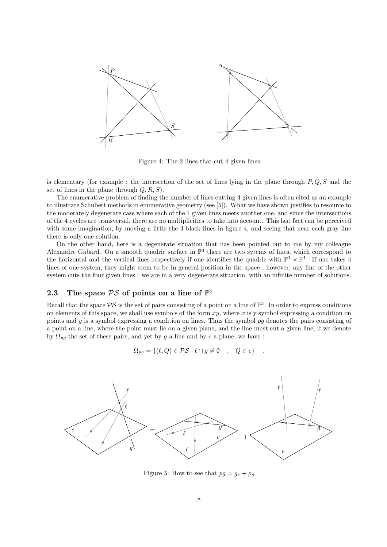

Figure 4: The 2 lines that cut 4 given lines

is elementary (for example : the intersection of the set of lines lying in the plane through  $P, Q, S$  and the set of lines in the plane through  $Q, R, S$ .

The enumerative problem of finding the number of lines cutting 4 given lines is often cited as an example to illustrate Schubert methods in enumerative geometry (see [5]). What we have shown justifies to resource to the moderately degenerate case where each of the 4 given lines meets another one, and since the intersections of the 4 cycles are transversal, there are no multiplicities to take into account. This last fact can be perceived with some imagination, by moving a little the 4 black lines in figure 4, and seeing that near each gray line there is only one solution.

On the other hand, here is a degenerate situation that has been pointed out to me by my colleague Alexandre Gabard. On a smooth quadric surface in  $\mathbb{P}^3$  there are two sytems of lines, which correspond to the horizontal and the vertical lines respectively if one identifies the quadric with  $\mathbb{P}^1 \times \mathbb{P}^1$ . If one takes 4 lines of one system, they might seem to be in general position in the space ; however, any line of the other system cuts the four given lines : we are in a very degenerate situation, with an infinite number of solutions.

## 2.3 The space  $PS$  of points on a line of  $\mathbb{P}^3$

Recall that the space  $PS$  is the set of pairs consisting of a point on a line of  $\mathbb{P}^3$ . In order to express conditions on elements of this space, we shall use symbols of the form  $xy$ , where x is y symbol expressing a condition on points and y is a symbol expressing a condition on lines. Thus the symbol  $pg$  denotes the pairs consisting of a point on a line, where the point must lie on a given plane, and the line must cut a given line; if we denote by  $\Omega_{pg}$  the set of these pairs, and yet by g a line and by e a plane, we have :

$$
\Omega_{pg} = \{ (\ell, Q) \in \mathcal{PS} \mid \ell \cap g \neq \emptyset \quad , \quad Q \in e \} \quad .
$$



Figure 5: How to see that  $pq = g_e + p_g$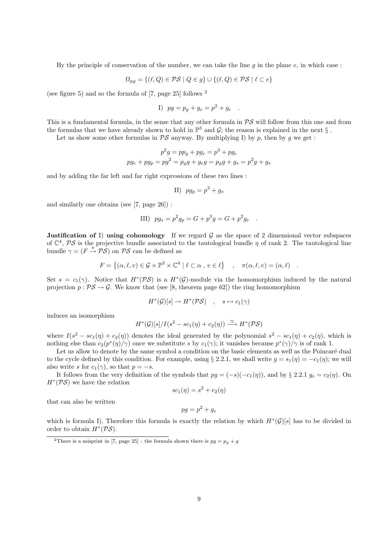By the principle of conservation of the number, we can take the line q in the plane  $e$ , in which case:

$$
\Omega_{pg} = \{ (\ell, Q) \in \mathcal{PS} \mid Q \in g \} \cup \{ (\ell, Q) \in \mathcal{PS} \mid \ell \subset e \}
$$

(see figure 5) and so the formula of [7, page 25] follows <sup>2</sup>

I) 
$$
pg = p_g + g_e = p^2 + g_e
$$
.

This is a fundamental formula, in the sense that any other formula in  $PS$  will follow from this one and from the formulas that we have already shown to hold in  $\mathbb{P}^3$  and  $\mathcal{G}$ ; the reason is explained in the next  $\S$ .

Let us show some other formulas in  $PS$  anyway. By multiplying I) by p, then by g we get :

$$
p2g = ppg + pge = p3 + pge
$$

$$
pge + pgp = pg2 = pgg + geg = pgg + gs = p2g + gs
$$

and by adding the far left and far right expressions of these two lines :

II) 
$$
pg_p = p^3 + g_s
$$

and similarly one obtains (see [7, page 26]) :

III) 
$$
pg_s = p^2g_p = G + p^3g = G + p^2g_e
$$
.

**Justification of I) using cohomology** If we regard  $\mathcal G$  as the space of 2 dimensional vector subspaces of  $\mathbb{C}^4$ ,  $\mathcal{PS}$  is the projective bundle associated to the tautological bundle  $\eta$  of rank 2. The tautological line bundle  $\gamma = (F \stackrel{\pi}{\rightarrow} PS)$  on PS can be defined as

$$
F = \{ (\alpha, \ell, v) \in \mathcal{G} \times \mathbb{P}^3 \times \mathbb{C}^4 \mid \ell \subset \alpha , v \in \ell \} \quad , \quad \pi(\alpha, \ell, v) = (\alpha, \ell) \quad .
$$

Set  $s = c_1(\gamma)$ . Notice that  $H^*(\mathcal{PS})$  is a  $H^*(\mathcal{G})$ -module via the homomorphism induced by the natural projection  $p : \mathcal{PS} \to \mathcal{G}$ . We know that (see [8, theorem page 62]) the ring homomorphism

$$
H^*(\mathcal{G})[s] \to H^*(\mathcal{PS}) \quad , \quad s \mapsto c_1(\gamma)
$$

induces an isomorphism

$$
H^*(\mathcal{G})[s]/I(s^2 - sc_1(\eta) + c_2(\eta)) \stackrel{\simeq}{\longrightarrow} H^*(\mathcal{PS})
$$

where  $I(s^2 - sc_1(\eta) + c_2(\eta))$  denotes the ideal generated by the polynomial  $s^2 - sc_1(\eta) + c_2(\eta)$ , which is nothing else than  $c_2(p^*(\eta)/\gamma)$  once we substitute s by  $c_1(\gamma)$ ; it vanishes because  $p^*(\gamma)/\gamma$  is of rank 1.

Let us allow to denote by the same symbol a condition on the basic elements as well as the Poincaré dual to the cycle defined by this condition. For example, using § 2.2.1, we shall write  $g = s_1(\eta) = -c_1(\eta)$ ; we will also write s for  $c_1(\gamma)$ , so that  $p = -s$ .

It follows from the very definition of the symbols that  $pg = (-s)(-c_1(\eta))$ , and by § 2.2.1  $g_e = c_2(\eta)$ . On  $H^*(\mathcal{PS})$  we have the relation

$$
sc_1(\eta) = s^2 + c_2(\eta)
$$

that can also be written

$$
pg = p^2 + g_e
$$

which is formula I). Therefore this formula is exactly the relation by which  $H^*(\mathcal{G})[s]$  has to be divided in order to obtain  $H^*(\mathcal{PS})$ .

<sup>&</sup>lt;sup>2</sup>There is a misprint in [7, page 25] : the formula shown there is  $pg = p<sub>g</sub> + g$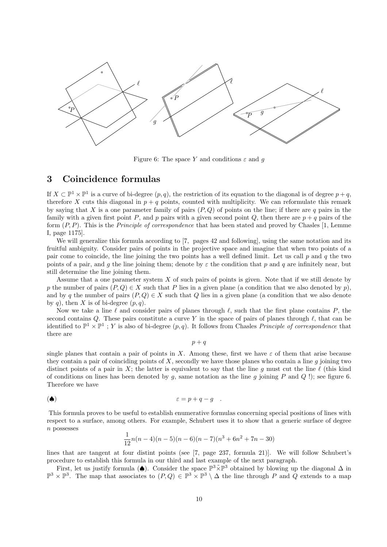

Figure 6: The space Y and conditions  $\varepsilon$  and g

## 3 Coincidence formulas

If  $X \subset \mathbb{P}^1 \times \mathbb{P}^1$  is a curve of bi-degree  $(p, q)$ , the restriction of its equation to the diagonal is of degree  $p + q$ , therefore X cuts this diagonal in  $p + q$  points, counted with multiplicity. We can reformulate this remark by saying that X is a one parameter family of pairs  $(P,Q)$  of points on the line; if there are q pairs in the family with a given first point P, and p pairs with a given second point Q, then there are  $p + q$  pairs of the form  $(P, P)$ . This is the *Principle of correspondence* that has been stated and proved by Chasles [1, Lemme I, page 1175].

We will generalize this formula according to [7, pages 42 and following], using the same notation and its fruitful ambiguity. Consider pairs of points in the projective space and imagine that when two points of a pair come to coincide, the line joining the two points has a well defined limit. Let us call  $p$  and  $q$  the two points of a pair, and g the line joining them; denote by  $\varepsilon$  the condition that p and q are infinitely near, but still determine the line joining them.

Assume that a one parameter system  $X$  of such pairs of points is given. Note that if we still denote by p the number of pairs  $(P,Q) \in X$  such that P lies in a given plane (a condition that we also denoted by p), and by q the number of pairs  $(P,Q) \in X$  such that Q lies in a given plane (a condition that we also denote by q), then X is of bi-degree  $(p, q)$ .

Now we take a line  $\ell$  and consider pairs of planes through  $\ell$ , such that the first plane contains P, the second contains Q. These pairs constitute a curve Y in the space of pairs of planes through  $\ell$ , that can be identified to  $\mathbb{P}^1 \times \mathbb{P}^1$ ; Y is also of bi-degree  $(p, q)$ . It follows from Chasles *Principle of correspondence* that there are

 $p + q$ 

single planes that contain a pair of points in X. Among these, first we have  $\varepsilon$  of them that arise because they contain a pair of coinciding points of  $X$ , secondly we have those planes who contain a line  $g$  joining two distinct points of a pair in X; the latter is equivalent to say that the line g must cut the line  $\ell$  (this kind of conditions on lines has been denoted by g, same notation as the line g joining P and Q !); see figure 6. Therefore we have

$$
\epsilon = p + q - g \quad .
$$

This formula proves to be useful to establish enumerative formulas concerning special positions of lines with respect to a surface, among others. For example, Schubert uses it to show that a generic surface of degree  $n$  possesses

$$
\frac{1}{12}n(n-4)(n-5)(n-6)(n-7)(n^3+6n^2+7n-30)
$$

lines that are tangent at four distint points (see [7, page 237, formula 21)]. We will follow Schubert's procedure to establish this formula in our third and last example of the next paragraph.

First, let us justify formula ( $\spadesuit$ ). Consider the space  $\mathbb{P}^3 \tilde{\times} \mathbb{P}^3$  obtained by blowing up the diagonal  $\Delta$  in  $\mathbb{P}^3 \times \mathbb{P}^3$ . The map that associates to  $(P,Q) \in \mathbb{P}^3 \times \mathbb{P}^3 \setminus \Delta$  the line through P and Q extends to a map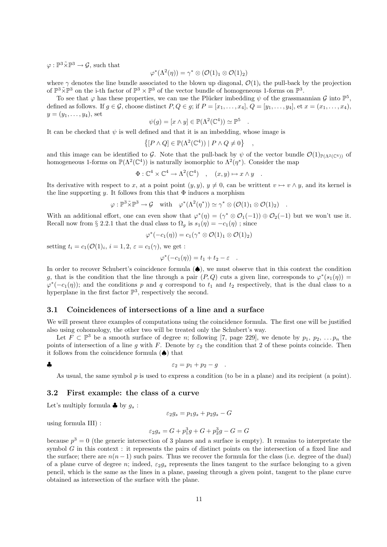$\varphi: \mathbb{P}^3 \tilde{\times} \mathbb{P}^3 \to \mathcal{G}$ , such that

$$
\varphi^*(\Lambda^2(\eta)) = \gamma^* \otimes (\mathcal{O}(1)_1 \otimes \mathcal{O}(1)_2)
$$

where  $\gamma$  denotes the line bundle associated to the blown up diagonal,  $\mathcal{O}(1)_i$  the pull-back by the projection of  $\mathbb{P}^3 \times \mathbb{P}^3$  on the i-th factor of  $\mathbb{P}^3 \times \mathbb{P}^3$  of the vector bundle of homogeneous 1-forms on  $\mathbb{P}^3$ .

To see that  $\varphi$  has these properties, we can use the Plücker imbedding  $\psi$  of the grassmannian  $\mathcal G$  into  $\mathbb P^5$ , defined as follows. If  $g \in \mathcal{G}$ , choose distinct  $P, Q \in g$ ; if  $P = [x_1, \ldots, x_4], Q = [y_1, \ldots, y_4],$  et  $x = (x_1, \ldots, x_4)$ ,  $y = (y_1, \ldots, y_4)$ , set

$$
\psi(g) = [x \land y] \in \mathbb{P}(\Lambda^2(\mathbb{C}^4)) \simeq \mathbb{P}^5
$$

.

,

It can be checked that  $\psi$  is well defined and that it is an imbedding, whose image is

$$
\{ [P \wedge Q] \in \mathbb{P}(\Lambda^2(\mathbb{C}^4)) \mid P \wedge Q \neq 0 \}
$$

and this image can be identified to G. Note that the pull-back by  $\psi$  of the vector bundle  $\mathcal{O}(1)_{\mathbb{P}(\Lambda^2(\mathbb{C}^4))}$  of homogeneous 1-forms on  $\mathbb{P}(\Lambda^2(\mathbb{C}^4))$  is naturally isomorphic to  $\Lambda^2(\eta^*)$ . Consider the map

$$
\Phi: \mathbb{C}^4 \times \mathbb{C}^4 \to \Lambda^2(\mathbb{C}^4) \quad , \quad (x, y) \mapsto x \wedge y \quad .
$$

Its derivative with respect to x, at a point point  $(y, y), y \neq 0$ , can be writtent  $v \mapsto v \wedge y$ , and its kernel is the line supporting y. It follows from this that  $\Phi$  induces a morphism

$$
\varphi: \mathbb{P}^3 \tilde{\times} \mathbb{P}^3 \to \mathcal{G} \quad \text{with} \quad \varphi^*(\Lambda^2(\eta^*)) \simeq \gamma^* \otimes (\mathcal{O}(1)_1 \otimes \mathcal{O}(1)_2) \quad .
$$

With an additional effort, one can even show that  $\varphi^*(\eta) = (\gamma^* \otimes \mathcal{O}_1(-1)) \oplus \mathcal{O}_2(-1)$  but we won't use it. Recall now from § 2.2.1 that the dual class to  $\Omega_q$  is  $s_1(\eta) = -c_1(\eta)$ ; since

$$
\varphi^*(-c_1(\eta)) = c_1(\gamma^* \otimes \mathcal{O}(1)_1 \otimes \mathcal{O}(1)_2)
$$

setting  $t_i = c_1(\mathcal{O}(1)_i, i = 1, 2, \varepsilon = c_1(\gamma)$ , we get :

$$
\varphi^*(-c_1(\eta)) = t_1 + t_2 - \varepsilon \quad .
$$

In order to recover Schubert's coincidence formula (♠), we must observe that in this context the condition g, that is the condition that the line through a pair  $(P,Q)$  cuts a given line, corresponds to  $\varphi^*(s_1(\eta)) =$  $\varphi^*(-c_1(\eta))$ ; and the conditions p and q correspond to  $t_1$  and  $t_2$  respectively, that is the dual class to a hyperplane in the first factor  $\mathbb{P}^3$ , respectively the second.

### 3.1 Coincidences of intersections of a line and a surface

We will present three examples of computations using the coincidence formula. The first one will be justified also using cohomology, the other two will be treated only the Schubert's way.

Let  $F \subset \mathbb{P}^3$  be a smooth surface of degree n; following [7, page 229], we denote by  $p_1, p_2, \ldots p_n$  the points of intersection of a line g with F. Denote by  $\varepsilon_2$  the condition that 2 of these points coincide. Then it follows from the coincidence formula  $(\spadesuit)$  that

$$
\bullet
$$

$$
\epsilon_2 = p_1 + p_2 - g \quad .
$$

As usual, the same symbol p is used to express a condition (to be in a plane) and its recipient (a point).

### 3.2 First example: the class of a curve

Let's multiply formula  $\clubsuit$  by  $g_s$ :

$$
\varepsilon_2 g_s = p_1 g_s + p_2 g_s - G
$$

using formula III) :

$$
\varepsilon_2 g_s = G + p_1^3 g + G + p_2^3 g - G = G
$$

because  $p^3 = 0$  (the generic intersection of 3 planes and a surface is empty). It remains to interpretate the symbol G in this context : it represents the pairs of distinct points on the intersection of a fixed line and the surface; there are  $n(n-1)$  such pairs. Thus we recover the formula for the class (i.e. degree of the dual) of a plane curve of degree n; indeed,  $\varepsilon_2 g_s$  represents the lines tangent to the surface belonging to a given pencil, which is the same as the lines in a plane, passing through a given point, tangent to the plane curve obtained as intersection of the surface with the plane.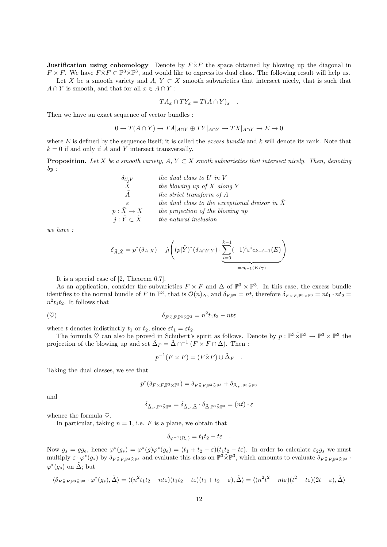**Justification using cohomology** Denote by  $F\tilde{\times}F$  the space obtained by blowing up the diagonal in  $F \times F$ . We have  $F \tilde{\times} F \subset \mathbb{P}^3 \tilde{\times} \mathbb{P}^3$ , and would like to express its dual class. The following result will help us. Let X be a smooth variety and A,  $Y \subset X$  smooth subvarieties that intersect nicely, that is such that

 $A \cap Y$  is smooth, and that for all  $x \in A \cap Y$ :

$$
TA_x \cap TY_x = T(A \cap Y)_x .
$$

Then we have an exact sequence of vector bundles :

$$
0 \to T(A \cap Y) \to T A|_{A \cap Y} \oplus TY|_{A \cap Y} \to TX|_{A \cap Y} \to E \to 0
$$

where  $E$  is defined by the sequence itself; it is called the excess bundle and  $k$  will denote its rank. Note that  $k = 0$  if and only if A and Y intersect transversally.

**Proposition.** Let X be a smooth variety,  $A, Y \subset X$  smoth subvarieties that intersect nicely. Then, denoting  $by:$ 

| $\delta_{U,V}$                   | the dual class to $U$ in $V$                     |
|----------------------------------|--------------------------------------------------|
| $\boldsymbol{X}$                 | the blowing up of $X$ along $Y$                  |
| $\overline{A}$                   | the strict transform of A                        |
| $\epsilon$                       | the dual class to the exceptional divisor in $X$ |
| $p: X \to X$                     | the projection of the blowing up                 |
| $j: \tilde{Y} \subset \tilde{X}$ | <i>the natural inclusion</i>                     |

we have :

$$
\delta_{\tilde{A}, \tilde{X}} = p^*(\delta_{A,X}) - j_! \left( (p|\tilde{Y})^*(\delta_{A \cap Y,Y}) \cdot \underbrace{\sum_{i=0}^{k-1} (-1)^i \varepsilon^i c_{k-i-1}(E)}_{=c_{k-1}(E/\gamma)} \right)
$$

It is a special case of [2, Theorem 6.7].

As an application, consider the subvarieties  $F \times F$  and  $\Delta$  of  $\mathbb{P}^3 \times \mathbb{P}^3$ . In this case, the excess bundle identifies to the normal bundle of F in  $\mathbb{P}^3$ , that is  $\mathcal{O}(n)_{\Delta}$ , and  $\delta_{F,\mathbb{P}^3} = nt$ , therefore  $\delta_{F \times F, \mathbb{P}^3 \times \mathbb{P}^3} = nt_1 \cdot nt_2$  $n^2t_1t_2$ . It follows that

$$
\delta_{F\tilde{\times}F,\mathbb{P}^3\tilde{\times}\mathbb{P}^3} = n^2 t_1 t_2 - nt\varepsilon
$$

where t denotes indistinctly  $t_1$  or  $t_2$ , since  $\varepsilon t_1 = \varepsilon t_2$ .

The formula  $\heartsuit$  can also be proved in Schubert's spirit as follows. Denote by  $p : \mathbb{P}^3 \times \mathbb{P}^3 \to \mathbb{P}^3 \times \mathbb{P}^3$  the projection of the blowing up and set  $\tilde{\Delta}_F = \tilde{\Delta} \cap^{-1} (F \times F \cap \Delta)$ . Then :

$$
p^{-1}(F \times F) = (F \tilde{\times} F) \cup \tilde{\Delta}_F .
$$

Taking the dual classes, we see that

$$
p^*(\delta_{F \times F, \mathbb{P}^3 \times \mathbb{P}^3}) = \delta_{F \tilde{\times} F, \mathbb{P}^3 \tilde{\times} \mathbb{P}^3} + \delta_{\tilde{\Delta}_F, \mathbb{P}^3 \tilde{\times} \mathbb{P}^3}
$$

and

$$
\delta_{\tilde{\Delta}_F,\mathbb{P}^3\tilde{\times}\mathbb{P}^3}=\delta_{\tilde{\Delta}_F,\tilde{\Delta}}\cdot\delta_{\tilde{\Delta},\mathbb{P}^3\tilde{\times}\mathbb{P}^3}=(nt)\cdot\varepsilon
$$

whence the formula  $\heartsuit$ .

In particular, taking  $n = 1$ , i.e. F is a plane, we obtain that

$$
\delta_{\varphi^{-1}(\Omega_e)} = t_1 t_2 - t \varepsilon \quad .
$$

Now  $g_s = gg_e$ , hence  $\varphi^*(g_s) = \varphi^*(g) \varphi^*(g_e) = (t_1 + t_2 - \varepsilon)(t_1t_2 - t\varepsilon)$ . In order to calculate  $\varepsilon_2 g_s$  we must multiply  $\varepsilon \cdot \varphi^*(g_s)$  by  $\delta_{F\tilde{\times}F,\mathbb{P}^3\tilde{\times}\mathbb{P}^3}$  and evaluate this class on  $\mathbb{P}^3\tilde{\times}\mathbb{P}^3$ , which amounts to evaluate  $\delta_{F\tilde{\times}F,\mathbb{P}^3\tilde{\times}\mathbb{P}^3}$ .  $\varphi^*(g_s)$  on  $\tilde{\Delta}$ ; but

$$
\langle \delta_{F\tilde{\times}F,\mathbb{P}^3\tilde{\times}\mathbb{P}^3} \cdot \varphi^*(g_s), \tilde{\Delta} \rangle = \langle (n^2t_1t_2 - nt\varepsilon)(t_1t_2 - t\varepsilon)(t_1 + t_2 - \varepsilon), \tilde{\Delta} \rangle = \langle (n^2t^2 - nt\varepsilon)(t^2 - t\varepsilon)(2t - \varepsilon), \tilde{\Delta} \rangle
$$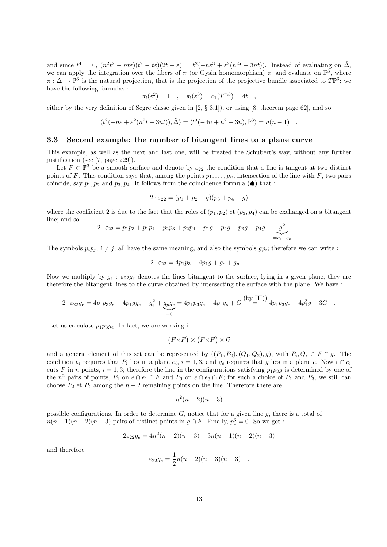and since  $t^4 = 0$ ,  $(n^2t^2 - nt\varepsilon)(t^2 - t\varepsilon)(2t - \varepsilon) = t^2(-n\varepsilon^3 + \varepsilon^2(n^2t + 3nt))$ . Instead of evaluating on  $\tilde{\Delta}$ , we can apply the integration over the fibers of  $\pi$  (or Gysin homomorphism)  $\pi_!$  and evaluate on  $\mathbb{P}^3$ , where  $\pi : \tilde{\Delta} \to \mathbb{P}^3$  is the natural projection, that is the projection of the projective bundle associated to  $T\mathbb{P}^3$ ; we have the following formulas :

$$
\pi_!(\varepsilon^2) = 1 \quad , \quad \pi_!(\varepsilon^3) = c_1(T\mathbb{P}^3) = 4t \quad ,
$$

either by the very definition of Segre classe given in  $[2, \S 3.1]$ , or using  $[8,$  theorem page 62], and so

$$
\langle t^2(-n\varepsilon + \varepsilon^2(n^2t + 3nt)), \tilde{\Delta} \rangle = \langle t^3(-4n + n^2 + 3n), \mathbb{P}^3 \rangle = n(n-1) .
$$

### 3.3 Second example: the number of bitangent lines to a plane curve

This example, as well as the next and last one, will be treated the Schubert's way, without any further justification (see [7, page 229]).

Let  $F \subset \mathbb{P}^3$  be a smooth surface and denote by  $\varepsilon_{22}$  the condition that a line is tangent at two distinct points of F. This condition says that, among the points  $p_1, \ldots, p_n$ , intersection of the line with F, two pairs coincide, say  $p_1, p_2$  and  $p_3, p_4$ . It follows from the coincidence formula ( $\spadesuit$ ) that :

$$
2 \cdot \varepsilon_{22} = (p_1 + p_2 - g)(p_3 + p_4 - g)
$$

where the coefficient 2 is due to the fact that the roles of  $(p_1,p_2)$  et  $(p_3,p_4)$  can be exchanged on a bitangent line; and so

.

$$
2 \cdot \varepsilon_{22} = p_1 p_3 + p_1 p_4 + p_2 p_3 + p_2 p_4 - p_1 g - p_2 g - p_3 g - p_4 g + \underbrace{g^2}_{=g_e + g_p}
$$

The symbols  $p_i p_j$ ,  $i \neq j$ , all have the same meaning, and also the symbols  $gp_i$ ; therefore we can write :

$$
2 \cdot \varepsilon_{22} = 4p_1p_3 - 4p_1g + g_e + g_p .
$$

Now we multiply by  $g_e$ :  $\varepsilon_{22}g_e$  denotes the lines bitangent to the surface, lying in a given plane; they are therefore the bitangent lines to the curve obtained by intersecting the surface with the plane. We have :

$$
2 \cdot \varepsilon_{22} g_e = 4p_1 p_3 g_e - 4p_1 g g_e + g_e^2 + g_p g_e = 4p_1 p_3 g_e - 4p_1 g_s + G \stackrel{\text{(by III)}}{=} 4p_1 p_3 g_e - 4p_1^3 g - 3G \quad .
$$

Let us calculate  $p_1p_3q_e$ . In fact, we are working in

$$
(F \tilde{\times} F) \times (F \tilde{\times} F) \times \mathcal{G}
$$

and a generic element of this set can be represented by  $((P_1, P_2), (Q_1, Q_2), g)$ , with  $P_i, Q_i \in F \cap g$ . The condition  $p_i$  requires that  $P_i$  lies in a plane  $e_i$ ,  $i = 1, 3$ , and  $g_e$  requires that g lies in a plane e. Now  $e \cap e_i$ cuts F in n points,  $i = 1, 3$ ; therefore the line in the configurations satisfying  $p_1p_3g$  is determined by one of the  $n^2$  pairs of points,  $P_1$  on  $e \cap e_1 \cap F$  and  $P_3$  on  $e \cap e_3 \cap F$ ; for such a choice of  $P_1$  and  $P_3$ , we still can choose  $P_2$  et  $P_4$  among the  $n-2$  remaining points on the line. Therefore there are

$$
n^2(n-2)(n-3)
$$

possible configurations. In order to determine  $G$ , notice that for a given line  $g$ , there is a total of  $n(n-1)(n-2)(n-3)$  pairs of distinct points in  $g \cap F$ . Finally,  $p_1^3 = 0$ . So we get :

$$
2\varepsilon_{22}g_e = 4n^2(n-2)(n-3) - 3n(n-1)(n-2)(n-3)
$$

and therefore

$$
\varepsilon_{22} g_e = \frac{1}{2} n(n-2)(n-3)(n+3) .
$$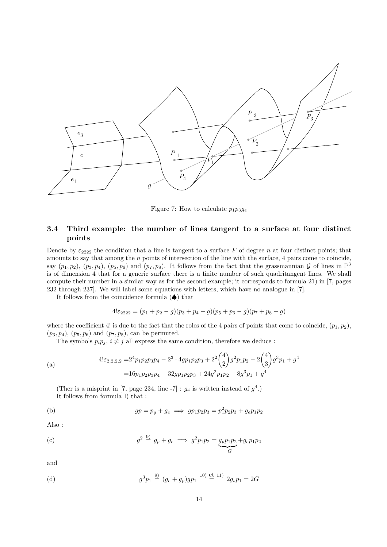

Figure 7: How to calculate  $p_1p_3g_e$ 

### 3.4 Third example: the number of lines tangent to a surface at four distinct points

Denote by  $\varepsilon_{2222}$  the condition that a line is tangent to a surface F of degree n at four distinct points; that amounts to say that among the n points of intersection of the line with the surface, 4 pairs come to coincide, say  $(p_1, p_2)$ ,  $(p_3, p_4)$ ,  $(p_5, p_6)$  and  $(p_7, p_8)$ . It follows from the fact that the grassmannian G of lines in  $\mathbb{P}^3$ is of dimension 4 that for a generic surface there is a finite number of such quadritangent lines. We shall compute their number in a similar way as for the second example; it corresponds to formula 21) in [7, pages 232 through 237]. We will label some equations with letters, which have no analogue in [7].

It follows from the coincidence formula  $(\spadesuit)$  that

$$
4! \varepsilon_{2222} = (p_1 + p_2 - g)(p_3 + p_4 - g)(p_5 + p_6 - g)(p_7 + p_8 - g)
$$

where the coefficient 4! is due to the fact that the roles of the 4 pairs of points that come to coincide,  $(p_1, p_2)$ ,  $(p_3, p_4)$ ,  $(p_5, p_6)$  and  $(p_7, p_8)$ , can be permuted.

The symbols  $p_i p_j$ ,  $i \neq j$  all express the same condition, therefore we deduce :

(a)  
\n
$$
4! \varepsilon_{2,2,2,2} = 2^4 p_1 p_2 p_3 p_4 - 2^3 \cdot 4gp_1 p_2 p_3 + 2^2 {4 \choose 2} g^2 p_1 p_2 - 2 {4 \choose 3} g^3 p_1 + g^4
$$
\n
$$
= 16 p_1 p_2 p_3 p_4 - 32gp_1 p_2 p_3 + 24g^2 p_1 p_2 - 8g^3 p_1 + g^4
$$

(Ther is a misprint in [7, page 234, line -7]:  $g_4$  is written instead of  $g^4$ .) It follows from formula I) that :

(b) 
$$
gp = p_g + g_e \implies gp_1p_2p_3 = p_1^2p_2p_3 + g_e p_1p_2
$$

Also :

(c) 
$$
g^2 \stackrel{9}{=} g_p + g_e \implies g^2 p_1 p_2 = \underbrace{g_p p_1 p_2}_{=G} + g_e p_1 p_2
$$

and

(d) 
$$
g^3 p_1 \stackrel{9)}{=} (g_e + g_p)gp_1 \stackrel{10)}{=} \stackrel{\text{et }11)}{=} 2g_s p_1 = 2G
$$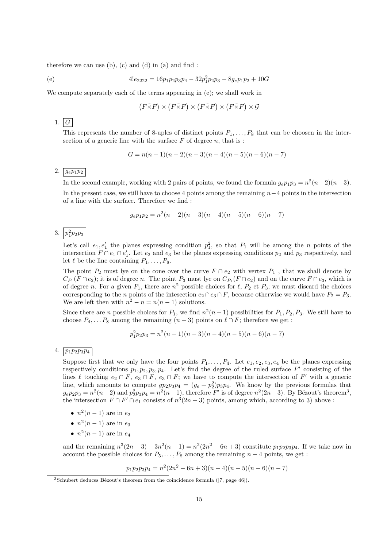therefore we can use  $(b)$ ,  $(c)$  and  $(d)$  in  $(a)$  and find :

(e) 
$$
4!e_{2222} = 16p_1p_2p_3p_4 - 32p_1^2p_2p_3 - 8g_e p_1 p_2 + 10G
$$

We compute separately each of the terms appearing in (e); we shall work in

$$
(F\tilde{\times}F)\times (F\tilde{\times}F)\times (F\tilde{\times}F)\times (F\tilde{\times}F)\times \mathcal{G}
$$

1.  $G$ 

This represents the number of 8-uples of distinct points  $P_1, \ldots, P_8$  that can be choosen in the intersection of a generic line with the surface  $F$  of degree  $n$ , that is :

$$
G = n(n-1)(n-2)(n-3)(n-4)(n-5)(n-6)(n-7)
$$

### 2.  $g_{e}p_{1}p_{2}$

In the second example, working with 2 pairs of points, we found the formula  $g_e p_1 p_3 = n^2(n-2)(n-3)$ . In the present case, we still have to choose 4 points among the remaining  $n-4$  points in the intersection of a line with the surface. Therefore we find :

$$
g_e p_1 p_2 = n^2(n-2)(n-3)(n-4)(n-5)(n-6)(n-7)
$$

## 3.  $p_1^2 p_2 p_3$

Let's call  $e_1, e'_1$  the planes expressing condition  $p_1^2$ , so that  $P_1$  will be among the n points of the intersection  $F \cap e_1 \cap e'_1$ . Let  $e_2$  and  $e_3$  be the planes expressing conditions  $p_2$  and  $p_3$  respectively, and let  $\ell$  be the line containing  $P_1, \ldots, P_8$ .

The point  $P_2$  must lye on the cone over the curve  $F \cap e_2$  with vertex  $P_1$ , that we shall denote by  $C_{P_1}(F \cap e_2)$ ; it is of degree n. The point  $P_3$  must lye on  $C_{P_1}(F \cap e_2)$  and on the curve  $F \cap e_3$ , which is of degree n. For a given  $P_1$ , there are  $n^2$  possible choices for  $\ell$ ,  $P_2$  et  $P_3$ ; we must discard the choices corresponding to the *n* points of the intesection  $e_2 \cap e_3 \cap F$ , because otherwise we would have  $P_2 = P_3$ . We are left then with  $n^2 - n = n(n-1)$  solutions.

Since there are *n* possible choices for  $P_1$ , we find  $n^2(n-1)$  possibilities for  $P_1, P_2, P_3$ . We still have to choose  $P_4, \ldots P_8$  among the remaining  $(n-3)$  points on  $\ell \cap F$ ; therefore we get :

$$
p_1^2 p_2 p_3 = n^2(n-1)(n-3)(n-4)(n-5)(n-6)(n-7)
$$

### 4. p1p2p3p<sup>4</sup>

Suppose first that we only have the four points  $P_1, \ldots, P_4$ . Let  $e_1, e_2, e_3, e_4$  be the planes expressing respectively conditions  $p_1, p_2, p_3, p_4$ . Let's find the degree of the ruled surface  $F'$  consisting of the lines  $\ell$  touching  $e_2 \cap F$ ,  $e_3 \cap F$ ,  $e_3 \cap F$ ; we have to compute the intersection of  $F'$  with a generic line, which amounts to compute  $gp_2p_3p_4 = (g_e + p_2^2)p_3p_4$ . We know by the previous formulas that  $g_e p_2 p_3 = n^2(n-2)$  and  $p_2^2 p_3 p_4 = n^2(n-1)$ , therefore F' is of degree  $n^2(2n-3)$ . By Bézout's theorem<sup>3</sup>, the intersection  $F \cap F' \cap e_1$  consists of  $n^3(2n-3)$  points, among which, according to 3) above :

- $n^2(n-1)$  are in  $e_2$
- $n^2(n-1)$  are in  $e_3$
- $n^2(n-1)$  are in  $e_4$

and the remaining  $n^3(2n-3) - 3n^2(n-1) = n^2(2n^2 - 6n + 3)$  constitute  $p_1p_2p_3p_4$ . If we take now in account the possible choices for  $P_5, \ldots, P_8$  among the remaining  $n-4$  points, we get :

$$
p_1 p_2 p_3 p_4 = n^2 (2n^2 - 6n + 3)(n - 4)(n - 5)(n - 6)(n - 7)
$$

 $3$ Schubert deduces Bézout's theorem from the coincidence formula ([7, page 46]).